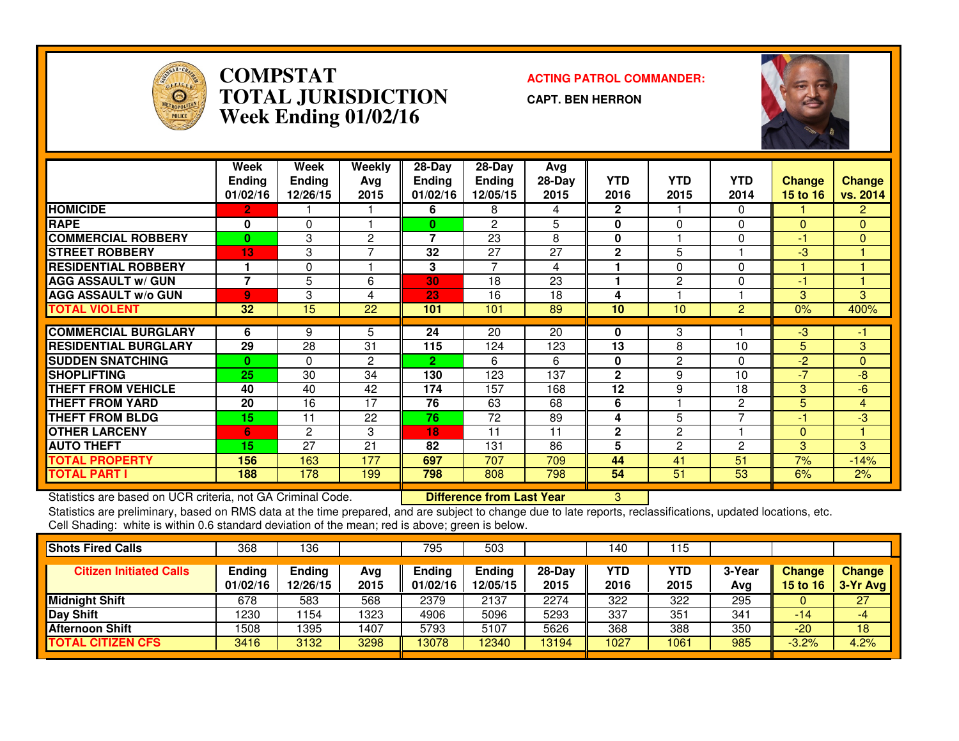

### **COMPSTAT ACTING PATROL COMMANDER: TOTAL JURISDICTIONWeek Ending 01/02/16**

**CAPT. BEN HERRON**



|                             | Week<br><b>Ending</b><br>01/02/16 | Week<br><b>Ending</b><br>12/26/15 | Weekly<br>Ava<br>2015 | $28-Day$<br><b>Ending</b><br>01/02/16 | $28$ -Day<br>Ending<br>12/05/15 | Avg<br>$28-Day$<br>2015 | <b>YTD</b><br>2016 | <b>YTD</b><br>2015 | <b>YTD</b><br>2014 | <b>Change</b><br>15 to 16 | <b>Change</b><br>vs. 2014 |
|-----------------------------|-----------------------------------|-----------------------------------|-----------------------|---------------------------------------|---------------------------------|-------------------------|--------------------|--------------------|--------------------|---------------------------|---------------------------|
| <b>HOMICIDE</b>             | 2.                                |                                   |                       | 6                                     | 8                               | 4                       | $\mathbf{2}$       |                    | 0                  |                           | $\overline{2}$            |
| <b>RAPE</b>                 | 0                                 | 0                                 |                       | 0                                     | $\overline{c}$                  | 5                       | 0                  | 0                  | 0                  | $\mathbf{0}$              | $\overline{0}$            |
| <b>ICOMMERCIAL ROBBERY</b>  | $\bf{0}$                          | 3                                 | 2                     | 7                                     | 23                              | 8                       | 0                  |                    | 0                  | $\left( -1 \right)$       | $\Omega$                  |
| <b>STREET ROBBERY</b>       | 13                                | 3                                 | 7                     | 32                                    | 27                              | 27                      | $\overline{2}$     | 5                  |                    | $-3$                      |                           |
| <b>RESIDENTIAL ROBBERY</b>  |                                   | 0                                 |                       | 3                                     | 7                               | 4                       | ۴                  | 0                  | 0                  |                           |                           |
| <b>AGG ASSAULT w/ GUN</b>   | 7                                 | 5                                 | 6                     | 30                                    | 18                              | 23                      | 1                  | 2                  | 0                  | -1                        |                           |
| <b>AGG ASSAULT w/o GUN</b>  | 9                                 | 3                                 | 4                     | 23                                    | 16                              | 18                      | 4                  |                    |                    | 3                         | 3                         |
| <b>TOTAL VIOLENT</b>        | 32                                | 15                                | 22                    | 101                                   | 101                             | 89                      | 10                 | 10                 | $\overline{2}$     | 0%                        | 400%                      |
|                             |                                   |                                   |                       |                                       |                                 |                         |                    |                    |                    |                           |                           |
| <b>ICOMMERCIAL BURGLARY</b> | 6                                 | 9                                 | 5.                    | 24                                    | 20                              | 20                      | 0                  | 3                  |                    | -3                        | -1                        |
| <b>RESIDENTIAL BURGLARY</b> | 29                                | 28                                | 31                    | 115                                   | 124                             | 123                     | 13                 | 8                  | 10                 | 5.                        | 3                         |
| <b>SUDDEN SNATCHING</b>     | 0                                 | 0                                 | 2                     | 2                                     | 6                               | 6                       | 0                  | 2                  | 0                  | $-2$                      | $\mathbf{0}$              |
| <b>ISHOPLIFTING</b>         | 25                                | 30                                | 34                    | 130                                   | 123                             | 137                     | $\mathbf{2}$       | 9                  | 10                 | $-7$                      | -8                        |
| <b>THEFT FROM VEHICLE</b>   | 40                                | 40                                | 42                    | 174                                   | 157                             | 168                     | 12                 | 9                  | 18                 | 3                         | $-6$                      |
| <b>THEFT FROM YARD</b>      | 20                                | 16                                | 17                    | 76                                    | 63                              | 68                      | 6                  |                    | 2                  | 5.                        | $\overline{4}$            |
| <b>THEFT FROM BLDG</b>      | 15                                | 11                                | 22                    | 76                                    | 72                              | 89                      | 4                  | 5                  | 7                  | 41                        | -3                        |
| <b>OTHER LARCENY</b>        | 6                                 | $\mathbf{2}$                      | 3                     | 18                                    | 11                              | 11                      | $\mathbf{2}$       | 2                  |                    | $\overline{0}$            | 4                         |
| <b>AUTO THEFT</b>           | 15                                | 27                                | 21                    | 82                                    | 131                             | 86                      | 5                  | 2                  | 2                  | 3                         | 3                         |
| <b>TOTAL PROPERTY</b>       | 156                               | 163                               | 177                   | 697                                   | 707                             | 709                     | 44                 | 41                 | 51                 | 7%                        | $-14%$                    |
| <b>TOTAL PART I</b>         | 188                               | 178                               | 199                   | 798                                   | 808                             | 798                     | 54                 | 51                 | 53                 | 6%                        | 2%                        |

Statistics are based on UCR criteria, not GA Criminal Code. **Difference from Last Year** 

Statistics are based on UCR criteria, not GA Criminal Code. **Interprie to Difference from Last Year** Mostang Ma<br>Statistics are preliminary, based on RMS data at the time prepared, and are subject to change due to late repo Cell Shading: white is within 0.6 standard deviation of the mean; red is above; green is below.

| <b>Shots Fired Calls</b>       | 368                | 136                |             | 795                | 503                       |                  | 140         | 15                 |               |                           |                           |
|--------------------------------|--------------------|--------------------|-------------|--------------------|---------------------------|------------------|-------------|--------------------|---------------|---------------------------|---------------------------|
| <b>Citizen Initiated Calls</b> | Ending<br>01/02/16 | Ending<br>12/26/15 | Avg<br>2015 | Ending<br>01/02/16 | <b>Ending</b><br>12/05/15 | $28-Day$<br>2015 | YTD<br>2016 | <b>YTD</b><br>2015 | 3-Year<br>Avg | <b>Change</b><br>15 to 16 | <b>Change</b><br>3-Yr Avg |
| <b>Midnight Shift</b>          | 678                | 583                | 568         | 2379               | 2137                      | 2274             | 322         | 322                | 295           | υ                         | 27                        |
| Day Shift                      | 1230               | 154                | 1323        | 4906               | 5096                      | 5293             | 337         | 351                | 341           | $-14$                     | -4                        |
| <b>Afternoon Shift</b>         | 1508               | 1395               | 1407        | 5793               | 5107                      | 5626             | 368         | 388                | 350           | $-20$                     | 18                        |
| <b>TOTAL CITIZEN CFS</b>       | 3416               | 3132               | 3298        | 13078              | 12340                     | 13194            | 1027        | 1061               | 985           | $-3.2%$                   | 4.2%                      |
|                                |                    |                    |             |                    |                           |                  |             |                    |               |                           |                           |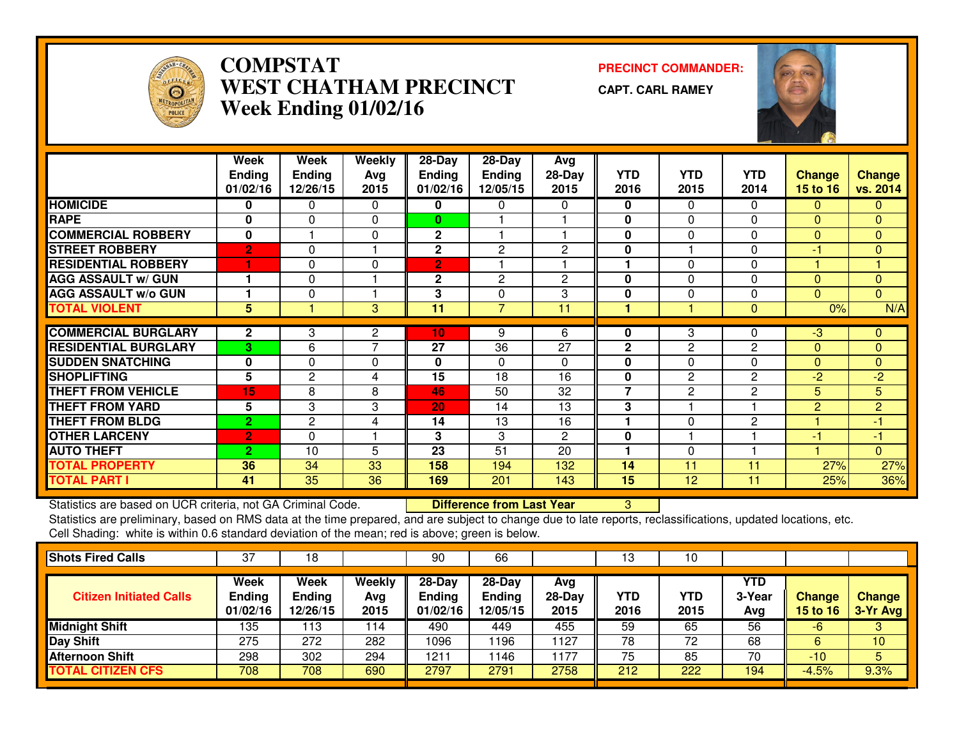

### **COMPSTAT PRECINCT COMMANDER: WEST CHATHAM PRECINCTWeek Ending 01/02/16**

**CAPT. CARL RAMEY**



|                             | Week           | Week           | <b>Weekly</b>  | $28 - Day$     | $28 - Day$     | Avg            |                |              |                |                |                |
|-----------------------------|----------------|----------------|----------------|----------------|----------------|----------------|----------------|--------------|----------------|----------------|----------------|
|                             | <b>Ending</b>  | Ending         | Avg            | <b>Ending</b>  | Ending         | $28-Day$       | <b>YTD</b>     | <b>YTD</b>   | <b>YTD</b>     | <b>Change</b>  | <b>Change</b>  |
|                             | 01/02/16       | 12/26/15       | 2015           | 01/02/16       | 12/05/15       | 2015           | 2016           | 2015         | 2014           | 15 to 16       | vs. 2014       |
| <b>HOMICIDE</b>             | 0              | 0              | $\mathbf 0$    | 0              | 0              | 0              | $\mathbf 0$    | $\Omega$     | $\Omega$       | $\mathbf{0}$   | $\mathbf{0}$   |
| <b>RAPE</b>                 | 0              | $\Omega$       | $\Omega$       | 0              |                |                | $\mathbf 0$    | $\Omega$     | $\Omega$       | $\mathbf{0}$   | $\Omega$       |
| <b>COMMERCIAL ROBBERY</b>   | 0              |                | $\Omega$       | $\mathbf{2}$   |                |                | $\mathbf{0}$   | $\Omega$     | $\Omega$       | $\Omega$       | $\mathbf{0}$   |
| <b>STREET ROBBERY</b>       | $\overline{2}$ | 0              |                | $\mathbf 2$    | 2              | 2              | $\mathbf 0$    |              | 0              | $-1$           | $\mathbf{0}$   |
| <b>RESIDENTIAL ROBBERY</b>  | 1              | 0              | $\Omega$       | $\overline{2}$ |                |                |                | 0            | 0              |                |                |
| <b>AGG ASSAULT w/ GUN</b>   |                | $\Omega$       |                | $\mathbf 2$    | $\overline{c}$ | $\overline{c}$ | $\mathbf 0$    | 0            | $\Omega$       | $\Omega$       | $\mathbf{0}$   |
| <b>AGG ASSAULT w/o GUN</b>  |                | 0              |                | 3              | 0              | 3              | $\mathbf 0$    | 0            | 0              | $\Omega$       | $\Omega$       |
| <b>TOTAL VIOLENT</b>        | 5              |                | 3              | 11             | $\overline{7}$ | 11             |                |              | $\mathbf{0}$   | 0%             | N/A            |
| <b>COMMERCIAL BURGLARY</b>  | $\mathbf{2}$   | 3              | $\overline{2}$ | 10             | 9              | 6              | 0              | 3            | 0              | -3             | $\mathbf{0}$   |
| <b>RESIDENTIAL BURGLARY</b> | 3              | 6              | $\overline{7}$ | 27             | 36             | 27             | $\overline{2}$ | $\mathbf{2}$ | 2              | $\Omega$       | $\mathbf{0}$   |
| <b>SUDDEN SNATCHING</b>     | $\mathbf{0}$   | $\Omega$       | $\Omega$       | 0              | $\Omega$       | 0              | $\mathbf{0}$   | $\Omega$     | $\Omega$       | $\Omega$       | $\mathbf{0}$   |
| <b>SHOPLIFTING</b>          | 5              | 2              | 4              | 15             | 18             | 16             | 0              | $\mathbf{2}$ | $\overline{2}$ | $-2$           | $-2$           |
| <b>THEFT FROM VEHICLE</b>   | 15             | 8              | 8              | 46             | 50             | 32             | $\overline{7}$ | $\mathbf{2}$ | $\overline{2}$ | 5              | 5              |
| <b>THEFT FROM YARD</b>      | 5              | 3              | 3              | 20             | 14             | 13             | 3              |              |                | $\overline{2}$ | $\overline{2}$ |
| <b>THEFT FROM BLDG</b>      | $\overline{2}$ | $\overline{2}$ | 4              | 14             | 13             | 16             | ٠              | $\Omega$     | 2              |                | $-1$           |
| <b>OTHER LARCENY</b>        | $\overline{2}$ | $\Omega$       |                | 3              | 3              | $\overline{2}$ | $\mathbf{0}$   |              |                | $-1$           | $-1$           |
| <b>AUTO THEFT</b>           | $\overline{2}$ | 10             | 5              | 23             | 51             | 20             |                | $\Omega$     |                |                | $\mathbf{0}$   |
| <b>TOTAL PROPERTY</b>       | 36             | 34             | 33             | 158            | 194            | 132            | 14             | 11           | 11             | 27%            | 27%            |
| <b>TOTAL PART I</b>         | 41             | 35             | 36             | 169            | 201            | 143            | 15             | 12           | 11             | 25%            | 36%            |

Statistics are based on UCR criteria, not GA Criminal Code. **Difference from Last Year** 

Statistics are based on UCR criteria, not GA Criminal Code. **Difference from Last Year Schoof Action** Statistics are preliminary, based on RMS data at the time prepared, and are subject to change due to late reports, recla Cell Shading: white is within 0.6 standard deviation of the mean; red is above; green is below.

| <b>Shots Fired Calls</b>       | 37                                | 18                         |                       | 90                                    | 66                                    |                         | 13          | 10                 |                             |                           |                           |
|--------------------------------|-----------------------------------|----------------------------|-----------------------|---------------------------------------|---------------------------------------|-------------------------|-------------|--------------------|-----------------------------|---------------------------|---------------------------|
| <b>Citizen Initiated Calls</b> | Week<br><b>Ending</b><br>01/02/16 | Week<br>Ending<br>12/26/15 | Weekly<br>Avg<br>2015 | $28-Day$<br><b>Ending</b><br>01/02/16 | $28-Day$<br><b>Ending</b><br>12/05/15 | Avg<br>$28-Day$<br>2015 | YTD<br>2016 | <b>YTD</b><br>2015 | <b>YTD</b><br>3-Year<br>Avg | Change<br><b>15 to 16</b> | <b>Change</b><br>3-Yr Avg |
| <b>Midnight Shift</b>          | 135                               | 13                         | 114                   | 490                                   | 449                                   | 455                     | 59          | 65                 | 56                          | -6                        | 3                         |
| <b>Day Shift</b>               | 275                               | 272                        | 282                   | 1096                                  | 196                                   | 1127                    | 78          | 72                 | 68                          |                           | 10 <sup>°</sup>           |
| <b>Afternoon Shift</b>         | 298                               | 302                        | 294                   | 1211                                  | 146                                   | 1177                    | 75          | 85                 | 70                          | $-10$                     | 5                         |
| <b>TOTAL CITIZEN CFS</b>       | 708                               | 708                        | 690                   | 2797                                  | 2791                                  | 2758                    | 212         | 222                | 194                         | $-4.5%$                   | 9.3%                      |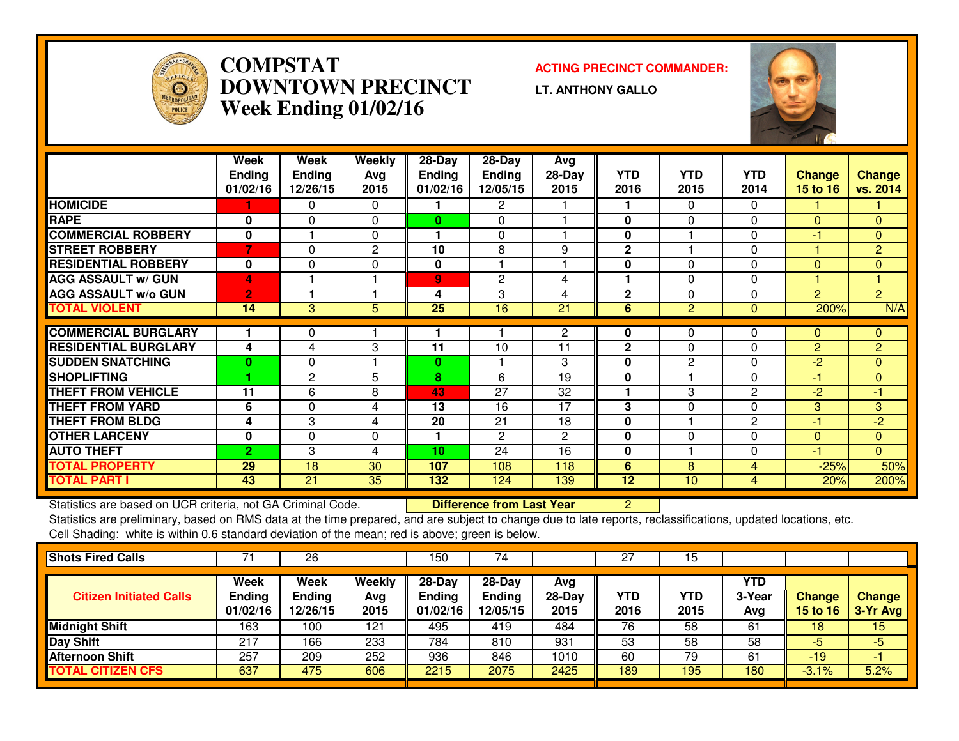

### **COMPSTAT ACTING PRECINCT COMMANDER: DOWNTOWN PRECINCTWeek Ending 01/02/16**

**LT. ANTHONY GALLO**



|                             | Week<br><b>Ending</b><br>01/02/16 | Week<br><b>Ending</b><br>12/26/15 | Weekly<br>Avg<br>2015 | 28-Day<br><b>Ending</b><br>01/02/16 | 28-Day<br><b>Ending</b><br>12/05/15 | Avg<br>$28-Day$<br>2015 | <b>YTD</b><br>2016 | <b>YTD</b><br>2015 | <b>YTD</b><br>2014 | <b>Change</b><br><b>15 to 16</b> | Change<br>vs. 2014   |
|-----------------------------|-----------------------------------|-----------------------------------|-----------------------|-------------------------------------|-------------------------------------|-------------------------|--------------------|--------------------|--------------------|----------------------------------|----------------------|
| <b>HOMICIDE</b>             |                                   | 0                                 | $\Omega$              |                                     | 2                                   |                         |                    | $\Omega$           | $\mathbf{0}$       |                                  |                      |
| <b>RAPE</b>                 | 0                                 | $\Omega$                          | 0                     | $\mathbf{0}$                        | $\Omega$                            |                         | 0                  | 0                  | $\Omega$           | $\Omega$                         | $\mathbf{0}$         |
| <b>COMMERCIAL ROBBERY</b>   | 0                                 |                                   | $\Omega$              |                                     | $\Omega$                            |                         | $\bf{0}$           |                    | $\Omega$           | -1                               | $\Omega$             |
| <b>STREET ROBBERY</b>       | 7                                 | $\Omega$                          | 2                     | 10                                  | 8                                   | 9                       | $\mathbf{2}$       |                    | 0                  |                                  | $\overline{2}$       |
| <b>RESIDENTIAL ROBBERY</b>  | 0                                 | $\Omega$                          | $\Omega$              | 0                                   |                                     |                         | 0                  | $\Omega$           | $\Omega$           | $\Omega$                         | $\mathbf{0}$         |
| <b>AGG ASSAULT w/ GUN</b>   | 4                                 |                                   |                       | 9 <sub>o</sub>                      | $\overline{c}$                      | 4                       |                    | 0                  | 0                  |                                  | $\blacktriangleleft$ |
| <b>AGG ASSAULT W/o GUN</b>  | $\overline{2}$                    |                                   |                       | 4                                   | 3                                   | 4                       | $\mathbf{2}$       | $\Omega$           | $\Omega$           | $\overline{2}$                   | $\overline{2}$       |
| <b>TOTAL VIOLENT</b>        | 14                                | 3                                 | 5                     | $\overline{25}$                     | 16                                  | $\overline{21}$         | 6                  | $\overline{2}$     | $\Omega$           | 200%                             | N/A                  |
|                             |                                   |                                   |                       |                                     |                                     |                         |                    |                    |                    |                                  |                      |
| <b>COMMERCIAL BURGLARY</b>  |                                   | 0                                 |                       |                                     |                                     | $\mathbf{2}$            | 0                  | 0                  | 0                  | $\mathbf{0}$                     | $\mathbf{0}$         |
| <b>RESIDENTIAL BURGLARY</b> | 4                                 | 4                                 | 3                     | 11                                  | 10                                  | 11                      | $\mathbf{2}$       | $\Omega$           | 0                  | $\overline{2}$                   | $\overline{2}$       |
| <b>SUDDEN SNATCHING</b>     | $\bf{0}$                          | $\Omega$                          |                       | $\bf{0}$                            |                                     | 3                       | 0                  | 2                  | $\Omega$           | $-2$                             | $\Omega$             |
| <b>SHOPLIFTING</b>          | 4                                 | 2                                 | 5                     | 8                                   | 6                                   | 19                      | $\mathbf{0}$       |                    | $\Omega$           | $-1$                             | $\mathbf{0}$         |
| <b>THEFT FROM VEHICLE</b>   | 11                                | 6                                 | 8                     | 43                                  | 27                                  | 32                      |                    | 3                  | $\overline{2}$     | $-2$                             | $-1$                 |
| <b>THEFT FROM YARD</b>      | 6                                 | 0                                 | 4                     | 13                                  | 16                                  | 17                      | 3                  | 0                  | 0                  | 3                                | 3                    |
| <b>THEFT FROM BLDG</b>      | 4                                 | 3                                 | 4                     | 20                                  | 21                                  | 18                      | $\bf{0}$           |                    | 2                  | $-1$                             | $-2$                 |
| <b>OTHER LARCENY</b>        | $\bf{0}$                          | $\Omega$                          | 0                     |                                     | $\overline{2}$                      | $\mathbf{2}$            | $\mathbf{0}$       | $\Omega$           | 0                  | $\Omega$                         | $\mathbf{0}$         |
| <b>AUTO THEFT</b>           | $\overline{2}$                    | 3                                 | 4                     | 10                                  | 24                                  | 16                      | 0                  |                    | 0                  | $-1$                             | $\Omega$             |
| <b>TOTAL PROPERTY</b>       | 29                                | 18                                | 30                    | 107                                 | 108                                 | 118                     | 6                  | 8                  | 4                  | $-25%$                           | 50%                  |
| <b>TOTAL PART I</b>         | 43                                | 21                                | 35                    | 132                                 | 124                                 | 139                     | 12                 | 10                 | 4                  | 20%                              | 200%                 |
|                             |                                   |                                   |                       |                                     |                                     |                         |                    |                    |                    |                                  |                      |

Statistics are based on UCR criteria, not GA Criminal Code.

**Difference from Last Year** 2 |

 Statistics are preliminary, based on RMS data at the time prepared, and are subject to change due to late reports, reclassifications, updated locations, etc.Cell Shading: white is within 0.6 standard deviation of the mean; red is above; green is below.

|                                   | 26                                |                       | 150                                     | 74                                    |                         | 27          | 15                 |                      |                           |                             |
|-----------------------------------|-----------------------------------|-----------------------|-----------------------------------------|---------------------------------------|-------------------------|-------------|--------------------|----------------------|---------------------------|-----------------------------|
| Week<br><b>Ending</b><br>01/02/16 | Week<br><b>Ending</b><br>12/26/15 | Weekly<br>Avg<br>2015 | $28 - Day$<br><b>Ending</b><br>01/02/16 | $28-Dav$<br><b>Ending</b><br>12/05/15 | Avg<br>$28-Day$<br>2015 | YTD<br>2016 | <b>YTD</b><br>2015 | YTD<br>3-Year<br>Avg | Change<br><b>15 to 16</b> | <b>Change</b><br>$3-Yr$ Avg |
| 163                               | 100                               | 121                   | 495                                     | 419                                   | 484                     | 76          | 58                 | -61                  | 18                        | 15                          |
| 217                               | 166                               | 233                   | 784                                     | 810                                   | 931                     | 53          | 58                 | 58                   | -5                        | -5                          |
| 257                               | 209                               | 252                   | 936                                     | 846                                   | 1010                    | 60          | 79                 | 61                   | $-19$                     | -                           |
| 637                               | 475                               | 606                   | 2215                                    | 2075                                  | 2425                    | 189         | 195                | 180                  | $-3.1%$                   | 5.2%                        |
|                                   |                                   |                       |                                         |                                       |                         |             |                    |                      |                           |                             |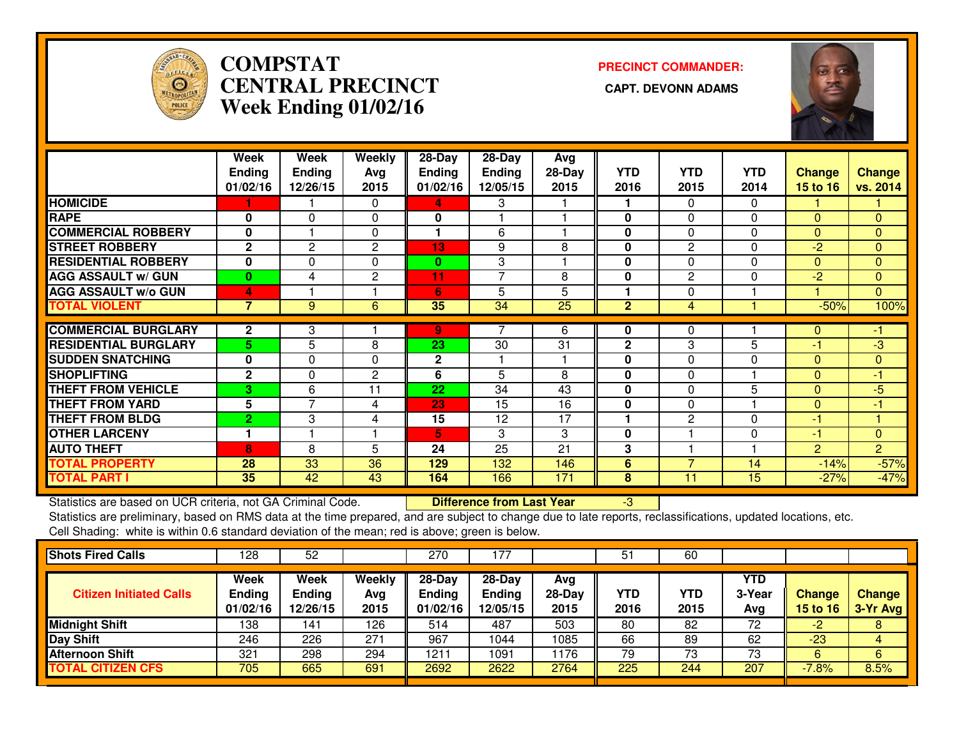

# **COMPSTAT PRECINCT COMMANDER: CENTRAL PRECINCT CAPT. DEVONN ADAMSWeek Ending 01/02/16**



|                             | Week           | Week          | <b>Weekly</b>  | 28-Day        | 28-Day         | Avg      |                |                |              |                |                |
|-----------------------------|----------------|---------------|----------------|---------------|----------------|----------|----------------|----------------|--------------|----------------|----------------|
|                             | <b>Ending</b>  | <b>Ending</b> | Avg            | <b>Ending</b> | Ending         | $28-Day$ | <b>YTD</b>     | <b>YTD</b>     | <b>YTD</b>   | <b>Change</b>  | <b>Change</b>  |
|                             | 01/02/16       | 12/26/15      | 2015           | 01/02/16      | 12/05/15       | 2015     | 2016           | 2015           | 2014         | 15 to 16       | vs. 2014       |
| <b>HOMICIDE</b>             |                |               | 0              | 4             | 3              |          |                | 0              | 0            |                |                |
| <b>RAPE</b>                 | 0              | $\Omega$      | 0              | 0             |                |          | 0              | $\Omega$       | $\Omega$     | $\Omega$       | $\mathbf{0}$   |
| <b>COMMERCIAL ROBBERY</b>   | 0              |               | $\Omega$       | 1             | 6              |          | 0              | 0              | $\Omega$     | $\Omega$       | $\mathbf{0}$   |
| <b>STREET ROBBERY</b>       | $\mathbf{2}$   | 2             | 2              | 13            | 9              | 8        | 0              | $\mathbf{2}$   | 0            | -2             | 0              |
| <b>RESIDENTIAL ROBBERY</b>  | 0              | 0             | $\Omega$       | $\bf{0}$      | 3              |          | 0              | 0              | 0            | $\Omega$       | $\mathbf{0}$   |
| <b>AGG ASSAULT w/ GUN</b>   | $\bf{0}$       | 4             | $\mathbf{2}$   | 11            | $\overline{7}$ | 8        | $\bf{0}$       | $\overline{2}$ | $\mathbf{0}$ | $-2$           | $\mathbf{0}$   |
| <b>AGG ASSAULT w/o GUN</b>  | 4              |               |                | 6             | 5              | 5        |                | 0              |              |                | $\overline{0}$ |
| <b>TOTAL VIOLENT</b>        | $\overline{7}$ | 9             | 6              | 35            | 34             | 25       | $\overline{2}$ | 4              |              | $-50%$         | 100%           |
|                             |                |               |                |               |                |          |                |                |              |                |                |
| <b>COMMERCIAL BURGLARY</b>  | $\mathbf{2}$   | 3             |                | 9             |                | 6        | 0              | 0              |              | 0              | -1             |
| <b>RESIDENTIAL BURGLARY</b> | 5.             | 5             | 8              | 23            | 30             | 31       | $\mathbf 2$    | 3              | 5            | $-1$           | $-3$           |
| <b>SUDDEN SNATCHING</b>     | $\mathbf 0$    | 0             | $\Omega$       | $\mathbf 2$   |                |          | $\mathbf 0$    | $\Omega$       | $\mathbf{0}$ | $\Omega$       | $\overline{0}$ |
| <b>SHOPLIFTING</b>          | $\mathbf{2}$   | 0             | $\overline{c}$ | 6             | 5              | 8        | 0              | 0              |              | $\Omega$       | $-1$           |
| <b>THEFT FROM VEHICLE</b>   | 3              | 6             | 11             | 22            | 34             | 43       | $\mathbf{0}$   | $\Omega$       | 5            | $\Omega$       | -5             |
| <b>THEFT FROM YARD</b>      | 5              | 7             | 4              | 23            | 15             | 16       | 0              | $\Omega$       |              | $\Omega$       | -1             |
| <b>THEFT FROM BLDG</b>      | $\overline{2}$ | 3             | 4              | 15            | 12             | 17       | м              | $\overline{2}$ | $\Omega$     | $-1$           |                |
| <b>OTHER LARCENY</b>        | 1              |               |                | 5             | 3              | 3        | $\mathbf{0}$   |                | $\mathbf{0}$ | $-1$           | $\Omega$       |
| <b>AUTO THEFT</b>           | 8              | 8             | 5              | 24            | 25             | 21       | 3              |                |              | $\overline{2}$ | $\overline{2}$ |
| <b>TOTAL PROPERTY</b>       | 28             | 33            | 36             | 129           | 132            | 146      | 6              | 7              | 14           | $-14%$         | $-57%$         |
| <b>TOTAL PART I</b>         | 35             | 42            | 43             | 164           | 166            | 171      | 8              | 11             | 15           | $-27%$         | $-47%$         |

Statistics are based on UCR criteria, not GA Criminal Code. **Difference from Last Year** 

Statistics are based on UCR criteria, not GA Criminal Code. **Difference from Last Year Schoff Particle (199** - 3<br>Statistics are preliminary, based on RMS data at the time prepared, and are subject to change due to late rep Cell Shading: white is within 0.6 standard deviation of the mean; red is above; green is below.

| <b>Shots Fired Calls</b>       | 128                               | 52                                |                       | 270                                   | 77،                                     |                         | 51          | 60          |                      |                           |                           |
|--------------------------------|-----------------------------------|-----------------------------------|-----------------------|---------------------------------------|-----------------------------------------|-------------------------|-------------|-------------|----------------------|---------------------------|---------------------------|
| <b>Citizen Initiated Calls</b> | Week<br><b>Ending</b><br>01/02/16 | Week<br><b>Ending</b><br>12/26/15 | Weekly<br>Avg<br>2015 | $28-Dav$<br><b>Ending</b><br>01/02/16 | $28 - Day$<br><b>Ending</b><br>12/05/15 | Avg<br>$28-Day$<br>2015 | YTD<br>2016 | YTD<br>2015 | YTD<br>3-Year<br>Avg | <b>Change</b><br>15 to 16 | <b>Change</b><br>3-Yr Avg |
| <b>Midnight Shift</b>          | 138                               | 141                               | 126                   | 514                                   | 487                                     | 503                     | 80          | 82          | 72                   | -2                        | 8                         |
| Day Shift                      | 246                               | 226                               | 271                   | 967                                   | 1044                                    | 1085                    | 66          | 89          | 62                   | $-23$                     | 4                         |
| <b>Afternoon Shift</b>         | 321                               | 298                               | 294                   | 1211                                  | 1091                                    | 1176                    | 79          | 73          | 73                   | 6                         | 6                         |
| <b>TOTAL CITIZEN CFS</b>       | 705                               | 665                               | 691                   | 2692                                  | 2622                                    | 2764                    | 225         | 244         | 207                  | $-7.8%$                   | 8.5%                      |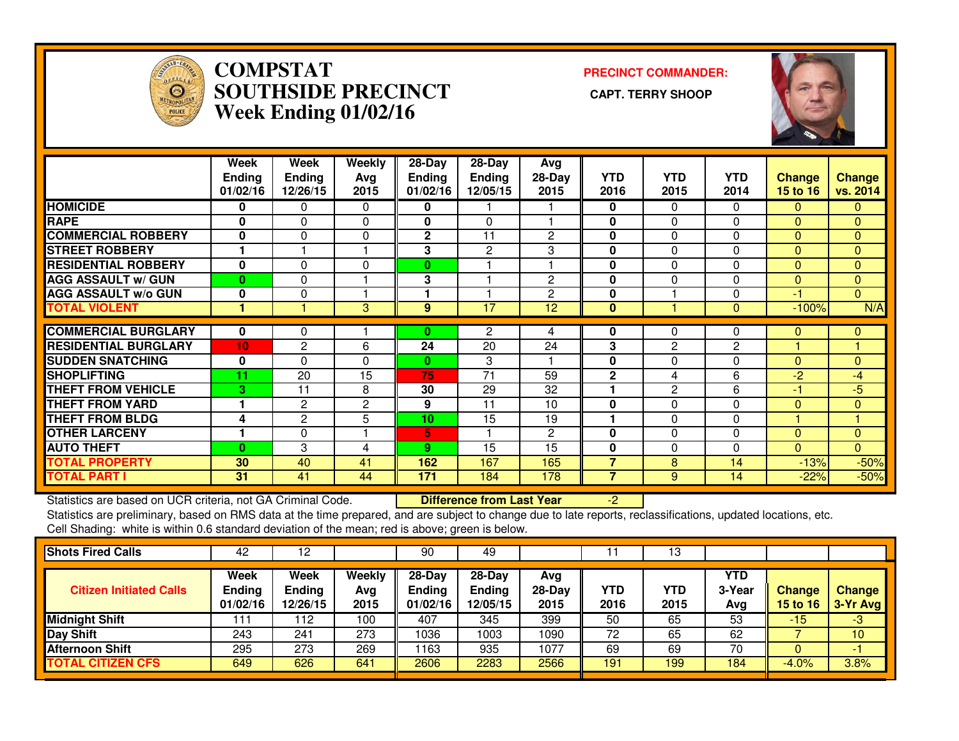

#### **COMPSTAT PRECINCT COMMANDER: SOUTHSIDE PRECINCT CAPT. TERRY SHOOPWeek Ending 01/02/16**



|                             | Week<br><b>Ending</b><br>01/02/16 | Week<br><b>Ending</b><br>12/26/15 | Weekly<br>Avg<br>2015 | $28 - Day$<br><b>Ending</b><br>01/02/16 | $28-Day$<br><b>Ending</b><br>12/05/15 | Avg<br>28-Day<br>2015 | <b>YTD</b><br>2016 | <b>YTD</b><br>2015 | <b>YTD</b><br>2014 | <b>Change</b><br><b>15 to 16</b> | Change<br>vs. 2014 |
|-----------------------------|-----------------------------------|-----------------------------------|-----------------------|-----------------------------------------|---------------------------------------|-----------------------|--------------------|--------------------|--------------------|----------------------------------|--------------------|
| <b>HOMICIDE</b>             | 0                                 | 0                                 | $\mathbf 0$           | 0                                       |                                       |                       | 0                  | 0                  | $\Omega$           | $\mathbf{0}$                     | 0                  |
| <b>RAPE</b>                 | $\bf{0}$                          | $\Omega$                          | $\Omega$              | 0                                       | $\Omega$                              |                       | 0                  | $\Omega$           | $\Omega$           | $\Omega$                         | $\Omega$           |
| <b>COMMERCIAL ROBBERY</b>   | 0                                 | 0                                 | $\mathbf 0$           | $\overline{2}$                          | 11                                    | 2                     | 0                  | $\Omega$           | $\Omega$           | $\Omega$                         | $\mathbf{0}$       |
| <b>STREET ROBBERY</b>       | 1                                 |                                   | 1                     | 3                                       | 2                                     | 3                     | 0                  | $\Omega$           | $\Omega$           | $\Omega$                         | $\mathbf{0}$       |
| <b>RESIDENTIAL ROBBERY</b>  | $\bf{0}$                          | 0                                 | $\Omega$              | $\bf{0}$                                |                                       |                       | 0                  | $\Omega$           | $\Omega$           | $\Omega$                         | $\mathbf{0}$       |
| <b>AGG ASSAULT w/ GUN</b>   | $\bf{0}$                          | 0                                 |                       | 3                                       |                                       | 2                     | 0                  | $\Omega$           | $\Omega$           | $\Omega$                         | $\mathbf{0}$       |
| <b>AGG ASSAULT w/o GUN</b>  | 0                                 | 0                                 |                       |                                         |                                       | $\overline{c}$        | 0                  |                    | $\Omega$           | -1                               | $\Omega$           |
| <b>TOTAL VIOLENT</b>        |                                   |                                   | 3                     | 9                                       | 17                                    | 12                    | $\bf{0}$           |                    | $\Omega$           | $-100%$                          | N/A                |
|                             |                                   |                                   |                       |                                         |                                       |                       |                    |                    |                    |                                  |                    |
| <b>COMMERCIAL BURGLARY</b>  | $\mathbf{0}$                      | 0                                 |                       | 0                                       | 2                                     | 4                     | 0                  | $\Omega$           | 0                  | $\mathbf{0}$                     | $\mathbf{0}$       |
| <b>RESIDENTIAL BURGLARY</b> | 10                                | $\overline{2}$                    | 6                     | 24                                      | 20                                    | 24                    | 3                  | 2                  | 2                  |                                  |                    |
| <b>ISUDDEN SNATCHING</b>    | 0                                 | 0                                 | $\Omega$              | 0                                       | 3                                     |                       | 0                  | $\Omega$           | $\Omega$           | $\Omega$                         | $\mathbf{0}$       |
| <b>SHOPLIFTING</b>          | 11                                | 20                                | 15                    | 75                                      | 71                                    | 59                    | $\mathbf{2}$       | 4                  | 6                  | $-2$                             | $-4$               |
| <b>THEFT FROM VEHICLE</b>   | 3                                 | 11                                | 8                     | 30                                      | 29                                    | 32                    |                    | 2                  | 6                  | $-1$                             | -5                 |
| <b>THEFT FROM YARD</b>      |                                   | 2                                 | 2                     | 9                                       | 11                                    | 10                    | 0                  | $\Omega$           | $\Omega$           | $\Omega$                         | $\mathbf{0}$       |
| <b>THEFT FROM BLDG</b>      | 4                                 | $\overline{2}$                    | 5                     | 10                                      | 15                                    | 19                    | 4                  | $\Omega$           | $\Omega$           |                                  |                    |
| <b>OTHER LARCENY</b>        | 1                                 | 0                                 |                       | 5                                       |                                       | 2                     | 0                  | $\Omega$           | $\Omega$           | $\Omega$                         | $\Omega$           |
| <b>AUTO THEFT</b>           | 0                                 | 3                                 | 4                     | 9                                       | 15                                    | 15                    | 0                  | $\Omega$           | $\Omega$           | $\Omega$                         | $\Omega$           |
| <b>TOTAL PROPERTY</b>       | 30                                | 40                                | 41                    | 162                                     | 167                                   | 165                   | $\overline{7}$     | 8                  | 14                 | $-13%$                           | $-50%$             |
| <b>TOTAL PART I</b>         | 31                                | 41                                | 44                    | 171                                     | 184                                   | 178                   | 7                  | 9                  | 14                 | $-22%$                           | $-50%$             |

Statistics are based on UCR criteria, not GA Criminal Code. **Difference from Last Year** 

Statistics are based on UCR criteria, not GA Criminal Code. **Difference from Last Year Namilla Coden Accepte**d locations, etc.<br>Statistics are preliminary, based on RMS data at the time prepared, and are subject to change d Cell Shading: white is within 0.6 standard deviation of the mean; red is above; green is below.

| <b>Shots Fired Calls</b>       | 42                                | 12                                       |                              | 90                                      | 49                                    |                         |                    | 13          |                      |                             |                             |
|--------------------------------|-----------------------------------|------------------------------------------|------------------------------|-----------------------------------------|---------------------------------------|-------------------------|--------------------|-------------|----------------------|-----------------------------|-----------------------------|
| <b>Citizen Initiated Calls</b> | Week<br><b>Ending</b><br>01/02/16 | <b>Week</b><br><b>Ending</b><br>12/26/15 | <b>Weekly</b><br>Avg<br>2015 | $28 - Day$<br><b>Ending</b><br>01/02/16 | $28-Dav$<br><b>Ending</b><br>12/05/15 | Avg<br>$28-Day$<br>2015 | <b>YTD</b><br>2016 | YTD<br>2015 | YTD<br>3-Year<br>Avg | <b>Change</b><br>15 to $16$ | <b>Change</b><br>$3-Yr$ Avg |
| <b>Midnight Shift</b>          |                                   | 112                                      | 100                          | 407                                     | 345                                   | 399                     | 50                 | 65          | 53                   | $-15$                       | $-3/$                       |
| <b>Day Shift</b>               | 243                               | 241                                      | 273                          | 1036                                    | 1003                                  | 1090                    | 72                 | 65          | 62                   |                             | 10 <sup>°</sup>             |
| <b>Afternoon Shift</b>         | 295                               | 273                                      | 269                          | 163                                     | 935                                   | 1077                    | 69                 | 69          | 70                   |                             |                             |
| <b>TOTAL CITIZEN CFS</b>       | 649                               | 626                                      | 641                          | 2606                                    | 2283                                  | 2566                    | 191                | 199         | 184                  | $-4.0%$                     | 3.8%                        |